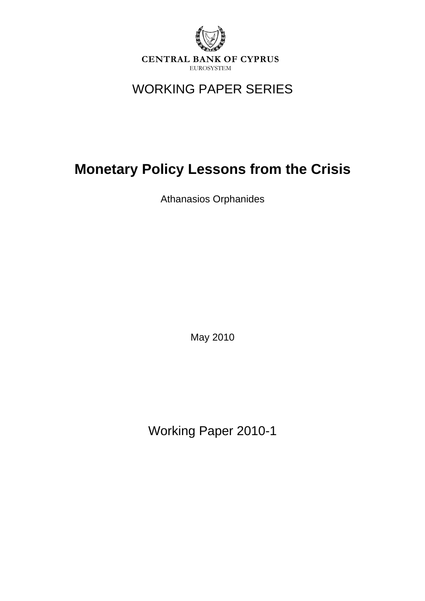

**CENTRAL BANK OF CYPRUS**  EUROSYSTEM

# WORKING PAPER SERIES

# **Monetary Policy Lessons from the Crisis**

Athanasios Orphanides

May 2010

Working Paper 2010-1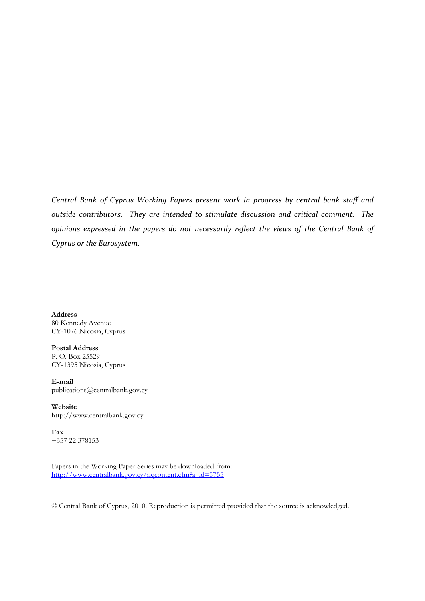*Central Bank of Cyprus Working Papers present work in progress by central bank staff and outside contributors. They are intended to stimulate discussion and critical comment. The opinions expressed in the papers do not necessarily reflect the views of the Central Bank of Cyprus or the Eurosystem.* 

**Address**  80 Kennedy Avenue CY-1076 Nicosia, Cyprus

**Postal Address**  P. O. Box 25529 CY-1395 Nicosia, Cyprus

**E-mail**  publications@centralbank.gov.cy

**Website**  http://www.centralbank.gov.cy

**Fax**  +357 22 378153

Papers in the Working Paper Series may be downloaded from: [http://www.centralbank.gov.cy/nqcontent.cfm?a\\_id=5755](http://www.centralbank.gov.cy/nqcontent.cfm?a_id=5755)

© Central Bank of Cyprus, 2010. Reproduction is permitted provided that the source is acknowledged.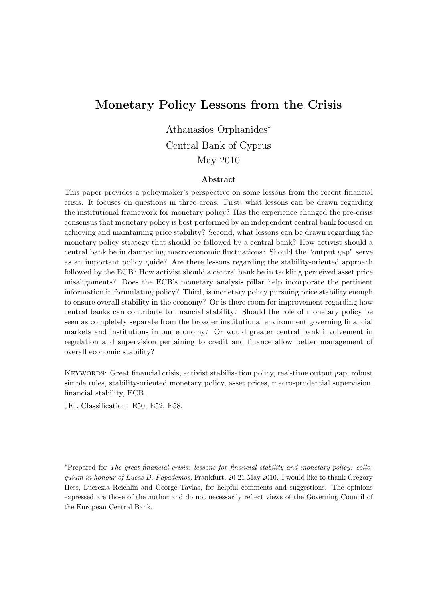## Monetary Policy Lessons from the Crisis

Athanasios Orphanides<sup>∗</sup> Central Bank of Cyprus

May 2010

#### Abstract

This paper provides a policymaker's perspective on some lessons from the recent financial crisis. It focuses on questions in three areas. First, what lessons can be drawn regarding the institutional framework for monetary policy? Has the experience changed the pre-crisis consensus that monetary policy is best performed by an independent central bank focused on achieving and maintaining price stability? Second, what lessons can be drawn regarding the monetary policy strategy that should be followed by a central bank? How activist should a central bank be in dampening macroeconomic fluctuations? Should the "output gap" serve as an important policy guide? Are there lessons regarding the stability-oriented approach followed by the ECB? How activist should a central bank be in tackling perceived asset price misalignments? Does the ECB's monetary analysis pillar help incorporate the pertinent information in formulating policy? Third, is monetary policy pursuing price stability enough to ensure overall stability in the economy? Or is there room for improvement regarding how central banks can contribute to financial stability? Should the role of monetary policy be seen as completely separate from the broader institutional environment governing financial markets and institutions in our economy? Or would greater central bank involvement in regulation and supervision pertaining to credit and finance allow better management of overall economic stability?

Keywords: Great financial crisis, activist stabilisation policy, real-time output gap, robust simple rules, stability-oriented monetary policy, asset prices, macro-prudential supervision, financial stability, ECB.

JEL Classification: E50, E52, E58.

<sup>∗</sup>Prepared for The great financial crisis: lessons for financial stability and monetary policy: colloquium in honour of Lucas D. Papademos, Frankfurt, 20-21 May 2010. I would like to thank Gregory Hess, Lucrezia Reichlin and George Tavlas, for helpful comments and suggestions. The opinions expressed are those of the author and do not necessarily reflect views of the Governing Council of the European Central Bank.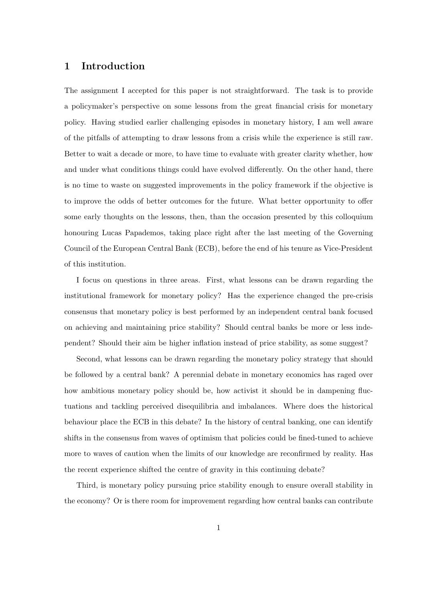#### 1 Introduction

The assignment I accepted for this paper is not straightforward. The task is to provide a policymaker's perspective on some lessons from the great financial crisis for monetary policy. Having studied earlier challenging episodes in monetary history, I am well aware of the pitfalls of attempting to draw lessons from a crisis while the experience is still raw. Better to wait a decade or more, to have time to evaluate with greater clarity whether, how and under what conditions things could have evolved differently. On the other hand, there is no time to waste on suggested improvements in the policy framework if the objective is to improve the odds of better outcomes for the future. What better opportunity to offer some early thoughts on the lessons, then, than the occasion presented by this colloquium honouring Lucas Papademos, taking place right after the last meeting of the Governing Council of the European Central Bank (ECB), before the end of his tenure as Vice-President of this institution.

I focus on questions in three areas. First, what lessons can be drawn regarding the institutional framework for monetary policy? Has the experience changed the pre-crisis consensus that monetary policy is best performed by an independent central bank focused on achieving and maintaining price stability? Should central banks be more or less independent? Should their aim be higher inflation instead of price stability, as some suggest?

Second, what lessons can be drawn regarding the monetary policy strategy that should be followed by a central bank? A perennial debate in monetary economics has raged over how ambitious monetary policy should be, how activist it should be in dampening fluctuations and tackling perceived disequilibria and imbalances. Where does the historical behaviour place the ECB in this debate? In the history of central banking, one can identify shifts in the consensus from waves of optimism that policies could be fined-tuned to achieve more to waves of caution when the limits of our knowledge are reconfirmed by reality. Has the recent experience shifted the centre of gravity in this continuing debate?

Third, is monetary policy pursuing price stability enough to ensure overall stability in the economy? Or is there room for improvement regarding how central banks can contribute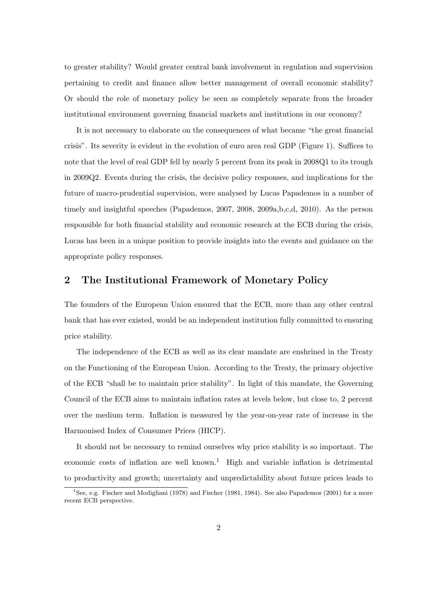to greater stability? Would greater central bank involvement in regulation and supervision pertaining to credit and finance allow better management of overall economic stability? Or should the role of monetary policy be seen as completely separate from the broader institutional environment governing financial markets and institutions in our economy?

It is not necessary to elaborate on the consequences of what became "the great financial crisis". Its severity is evident in the evolution of euro area real GDP (Figure 1). Suffices to note that the level of real GDP fell by nearly 5 percent from its peak in 2008Q1 to its trough in 2009Q2. Events during the crisis, the decisive policy responses, and implications for the future of macro-prudential supervision, were analysed by Lucas Papademos in a number of timely and insightful speeches (Papademos, 2007, 2008, 2009a,b,c,d, 2010). As the person responsible for both financial stability and economic research at the ECB during the crisis, Lucas has been in a unique position to provide insights into the events and guidance on the appropriate policy responses.

#### 2 The Institutional Framework of Monetary Policy

The founders of the European Union ensured that the ECB, more than any other central bank that has ever existed, would be an independent institution fully committed to ensuring price stability.

The independence of the ECB as well as its clear mandate are enshrined in the Treaty on the Functioning of the European Union. According to the Treaty, the primary objective of the ECB "shall be to maintain price stability". In light of this mandate, the Governing Council of the ECB aims to maintain inflation rates at levels below, but close to, 2 percent over the medium term. Inflation is measured by the year-on-year rate of increase in the Harmonised Index of Consumer Prices (HICP).

It should not be necessary to remind ourselves why price stability is so important. The economic costs of inflation are well known.<sup>1</sup> High and variable inflation is detrimental to productivity and growth; uncertainty and unpredictability about future prices leads to

<sup>1</sup>See, e.g. Fischer and Modigliani (1978) and Fischer (1981, 1984). See also Papademos (2001) for a more recent ECB perspective.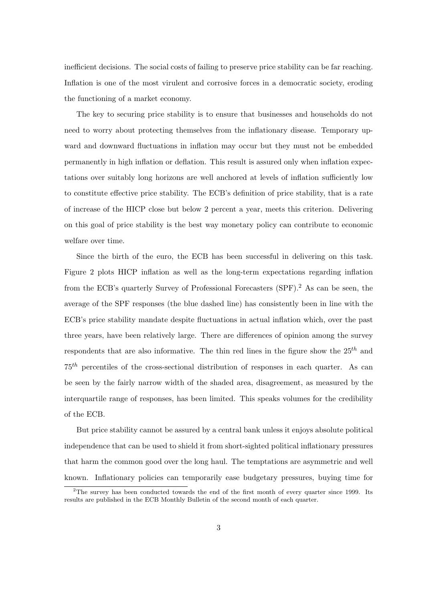inefficient decisions. The social costs of failing to preserve price stability can be far reaching. Inflation is one of the most virulent and corrosive forces in a democratic society, eroding the functioning of a market economy.

The key to securing price stability is to ensure that businesses and households do not need to worry about protecting themselves from the inflationary disease. Temporary upward and downward fluctuations in inflation may occur but they must not be embedded permanently in high inflation or deflation. This result is assured only when inflation expectations over suitably long horizons are well anchored at levels of inflation sufficiently low to constitute effective price stability. The ECB's definition of price stability, that is a rate of increase of the HICP close but below 2 percent a year, meets this criterion. Delivering on this goal of price stability is the best way monetary policy can contribute to economic welfare over time.

Since the birth of the euro, the ECB has been successful in delivering on this task. Figure 2 plots HICP inflation as well as the long-term expectations regarding inflation from the ECB's quarterly Survey of Professional Forecasters (SPF).<sup>2</sup> As can be seen, the average of the SPF responses (the blue dashed line) has consistently been in line with the ECB's price stability mandate despite fluctuations in actual inflation which, over the past three years, have been relatively large. There are differences of opinion among the survey respondents that are also informative. The thin red lines in the figure show the  $25<sup>th</sup>$  and  $75<sup>th</sup>$  percentiles of the cross-sectional distribution of responses in each quarter. As can be seen by the fairly narrow width of the shaded area, disagreement, as measured by the interquartile range of responses, has been limited. This speaks volumes for the credibility of the ECB.

But price stability cannot be assured by a central bank unless it enjoys absolute political independence that can be used to shield it from short-sighted political inflationary pressures that harm the common good over the long haul. The temptations are asymmetric and well known. Inflationary policies can temporarily ease budgetary pressures, buying time for

<sup>&</sup>lt;sup>2</sup>The survey has been conducted towards the end of the first month of every quarter since 1999. Its results are published in the ECB Monthly Bulletin of the second month of each quarter.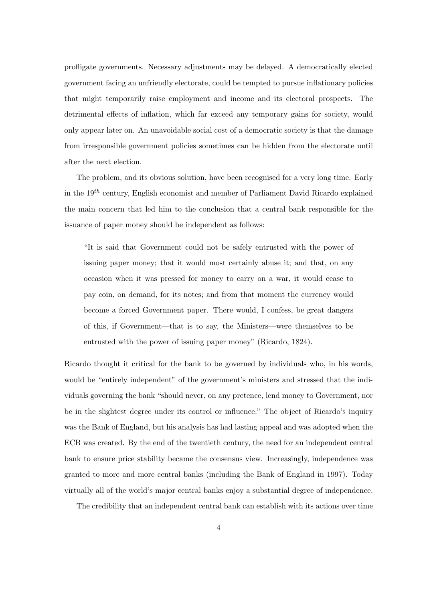profligate governments. Necessary adjustments may be delayed. A democratically elected government facing an unfriendly electorate, could be tempted to pursue inflationary policies that might temporarily raise employment and income and its electoral prospects. The detrimental effects of inflation, which far exceed any temporary gains for society, would only appear later on. An unavoidable social cost of a democratic society is that the damage from irresponsible government policies sometimes can be hidden from the electorate until after the next election.

The problem, and its obvious solution, have been recognised for a very long time. Early in the  $19<sup>th</sup>$  century, English economist and member of Parliament David Ricardo explained the main concern that led him to the conclusion that a central bank responsible for the issuance of paper money should be independent as follows:

"It is said that Government could not be safely entrusted with the power of issuing paper money; that it would most certainly abuse it; and that, on any occasion when it was pressed for money to carry on a war, it would cease to pay coin, on demand, for its notes; and from that moment the currency would become a forced Government paper. There would, I confess, be great dangers of this, if Government—that is to say, the Ministers—were themselves to be entrusted with the power of issuing paper money" (Ricardo, 1824).

Ricardo thought it critical for the bank to be governed by individuals who, in his words, would be "entirely independent" of the government's ministers and stressed that the individuals governing the bank "should never, on any pretence, lend money to Government, nor be in the slightest degree under its control or influence." The object of Ricardo's inquiry was the Bank of England, but his analysis has had lasting appeal and was adopted when the ECB was created. By the end of the twentieth century, the need for an independent central bank to ensure price stability became the consensus view. Increasingly, independence was granted to more and more central banks (including the Bank of England in 1997). Today virtually all of the world's major central banks enjoy a substantial degree of independence.

The credibility that an independent central bank can establish with its actions over time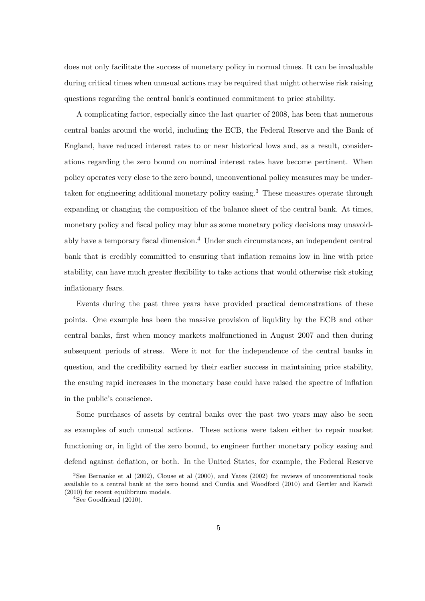does not only facilitate the success of monetary policy in normal times. It can be invaluable during critical times when unusual actions may be required that might otherwise risk raising questions regarding the central bank's continued commitment to price stability.

A complicating factor, especially since the last quarter of 2008, has been that numerous central banks around the world, including the ECB, the Federal Reserve and the Bank of England, have reduced interest rates to or near historical lows and, as a result, considerations regarding the zero bound on nominal interest rates have become pertinent. When policy operates very close to the zero bound, unconventional policy measures may be undertaken for engineering additional monetary policy easing.<sup>3</sup> These measures operate through expanding or changing the composition of the balance sheet of the central bank. At times, monetary policy and fiscal policy may blur as some monetary policy decisions may unavoidably have a temporary fiscal dimension.<sup>4</sup> Under such circumstances, an independent central bank that is credibly committed to ensuring that inflation remains low in line with price stability, can have much greater flexibility to take actions that would otherwise risk stoking inflationary fears.

Events during the past three years have provided practical demonstrations of these points. One example has been the massive provision of liquidity by the ECB and other central banks, first when money markets malfunctioned in August 2007 and then during subsequent periods of stress. Were it not for the independence of the central banks in question, and the credibility earned by their earlier success in maintaining price stability, the ensuing rapid increases in the monetary base could have raised the spectre of inflation in the public's conscience.

Some purchases of assets by central banks over the past two years may also be seen as examples of such unusual actions. These actions were taken either to repair market functioning or, in light of the zero bound, to engineer further monetary policy easing and defend against deflation, or both. In the United States, for example, the Federal Reserve

<sup>&</sup>lt;sup>3</sup>See Bernanke et al (2002), Clouse et al (2000), and Yates (2002) for reviews of unconventional tools available to a central bank at the zero bound and Curdia and Woodford (2010) and Gertler and Karadi (2010) for recent equilibrium models.

 $4$ See Goodfriend (2010).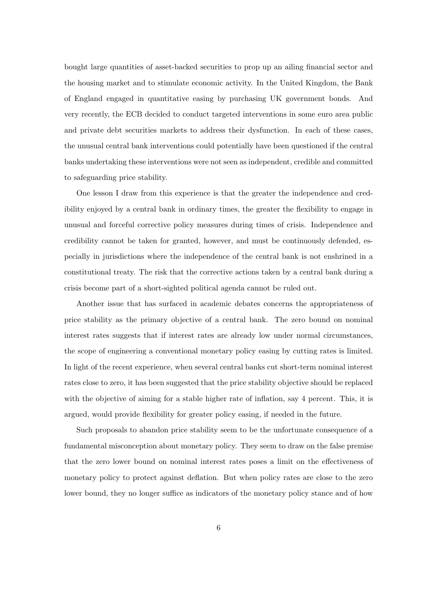bought large quantities of asset-backed securities to prop up an ailing financial sector and the housing market and to stimulate economic activity. In the United Kingdom, the Bank of England engaged in quantitative easing by purchasing UK government bonds. And very recently, the ECB decided to conduct targeted interventions in some euro area public and private debt securities markets to address their dysfunction. In each of these cases, the unusual central bank interventions could potentially have been questioned if the central banks undertaking these interventions were not seen as independent, credible and committed to safeguarding price stability.

One lesson I draw from this experience is that the greater the independence and credibility enjoyed by a central bank in ordinary times, the greater the flexibility to engage in unusual and forceful corrective policy measures during times of crisis. Independence and credibility cannot be taken for granted, however, and must be continuously defended, especially in jurisdictions where the independence of the central bank is not enshrined in a constitutional treaty. The risk that the corrective actions taken by a central bank during a crisis become part of a short-sighted political agenda cannot be ruled out.

Another issue that has surfaced in academic debates concerns the appropriateness of price stability as the primary objective of a central bank. The zero bound on nominal interest rates suggests that if interest rates are already low under normal circumstances, the scope of engineering a conventional monetary policy easing by cutting rates is limited. In light of the recent experience, when several central banks cut short-term nominal interest rates close to zero, it has been suggested that the price stability objective should be replaced with the objective of aiming for a stable higher rate of inflation, say 4 percent. This, it is argued, would provide flexibility for greater policy easing, if needed in the future.

Such proposals to abandon price stability seem to be the unfortunate consequence of a fundamental misconception about monetary policy. They seem to draw on the false premise that the zero lower bound on nominal interest rates poses a limit on the effectiveness of monetary policy to protect against deflation. But when policy rates are close to the zero lower bound, they no longer suffice as indicators of the monetary policy stance and of how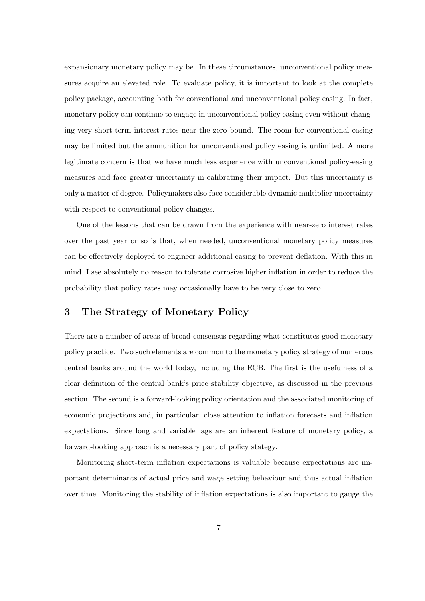expansionary monetary policy may be. In these circumstances, unconventional policy measures acquire an elevated role. To evaluate policy, it is important to look at the complete policy package, accounting both for conventional and unconventional policy easing. In fact, monetary policy can continue to engage in unconventional policy easing even without changing very short-term interest rates near the zero bound. The room for conventional easing may be limited but the ammunition for unconventional policy easing is unlimited. A more legitimate concern is that we have much less experience with unconventional policy-easing measures and face greater uncertainty in calibrating their impact. But this uncertainty is only a matter of degree. Policymakers also face considerable dynamic multiplier uncertainty with respect to conventional policy changes.

One of the lessons that can be drawn from the experience with near-zero interest rates over the past year or so is that, when needed, unconventional monetary policy measures can be effectively deployed to engineer additional easing to prevent deflation. With this in mind, I see absolutely no reason to tolerate corrosive higher inflation in order to reduce the probability that policy rates may occasionally have to be very close to zero.

#### 3 The Strategy of Monetary Policy

There are a number of areas of broad consensus regarding what constitutes good monetary policy practice. Two such elements are common to the monetary policy strategy of numerous central banks around the world today, including the ECB. The first is the usefulness of a clear definition of the central bank's price stability objective, as discussed in the previous section. The second is a forward-looking policy orientation and the associated monitoring of economic projections and, in particular, close attention to inflation forecasts and inflation expectations. Since long and variable lags are an inherent feature of monetary policy, a forward-looking approach is a necessary part of policy stategy.

Monitoring short-term inflation expectations is valuable because expectations are important determinants of actual price and wage setting behaviour and thus actual inflation over time. Monitoring the stability of inflation expectations is also important to gauge the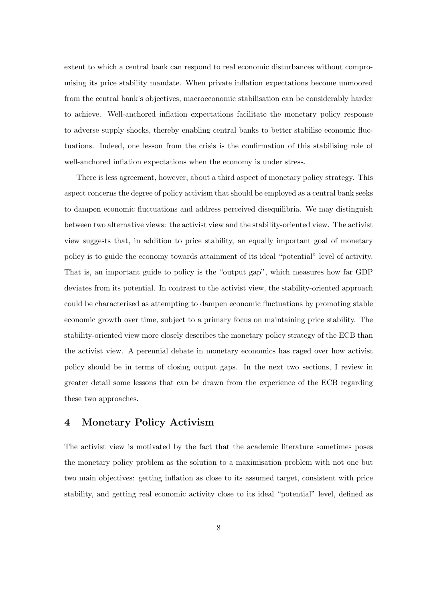extent to which a central bank can respond to real economic disturbances without compromising its price stability mandate. When private inflation expectations become unmoored from the central bank's objectives, macroeconomic stabilisation can be considerably harder to achieve. Well-anchored inflation expectations facilitate the monetary policy response to adverse supply shocks, thereby enabling central banks to better stabilise economic fluctuations. Indeed, one lesson from the crisis is the confirmation of this stabilising role of well-anchored inflation expectations when the economy is under stress.

There is less agreement, however, about a third aspect of monetary policy strategy. This aspect concerns the degree of policy activism that should be employed as a central bank seeks to dampen economic fluctuations and address perceived disequilibria. We may distinguish between two alternative views: the activist view and the stability-oriented view. The activist view suggests that, in addition to price stability, an equally important goal of monetary policy is to guide the economy towards attainment of its ideal "potential" level of activity. That is, an important guide to policy is the "output gap", which measures how far GDP deviates from its potential. In contrast to the activist view, the stability-oriented approach could be characterised as attempting to dampen economic fluctuations by promoting stable economic growth over time, subject to a primary focus on maintaining price stability. The stability-oriented view more closely describes the monetary policy strategy of the ECB than the activist view. A perennial debate in monetary economics has raged over how activist policy should be in terms of closing output gaps. In the next two sections, I review in greater detail some lessons that can be drawn from the experience of the ECB regarding these two approaches.

#### 4 Monetary Policy Activism

The activist view is motivated by the fact that the academic literature sometimes poses the monetary policy problem as the solution to a maximisation problem with not one but two main objectives: getting inflation as close to its assumed target, consistent with price stability, and getting real economic activity close to its ideal "potential" level, defined as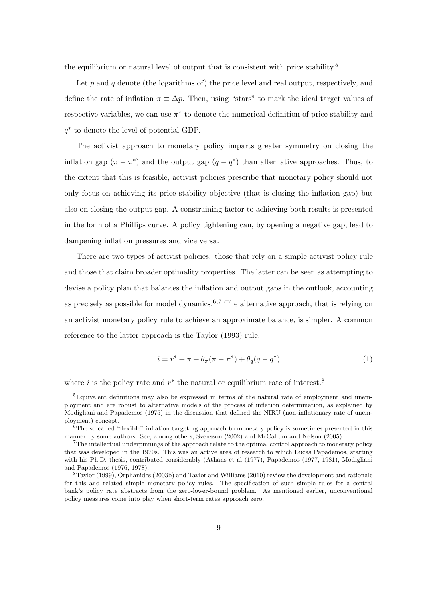the equilibrium or natural level of output that is consistent with price stability.<sup>5</sup>

Let p and q denote (the logarithms of) the price level and real output, respectively, and define the rate of inflation  $\pi \equiv \Delta p$ . Then, using "stars" to mark the ideal target values of respective variables, we can use  $\pi^*$  to denote the numerical definition of price stability and q ∗ to denote the level of potential GDP.

The activist approach to monetary policy imparts greater symmetry on closing the inflation gap  $(\pi - \pi^*)$  and the output gap  $(q - q^*)$  than alternative approaches. Thus, to the extent that this is feasible, activist policies prescribe that monetary policy should not only focus on achieving its price stability objective (that is closing the inflation gap) but also on closing the output gap. A constraining factor to achieving both results is presented in the form of a Phillips curve. A policy tightening can, by opening a negative gap, lead to dampening inflation pressures and vice versa.

There are two types of activist policies: those that rely on a simple activist policy rule and those that claim broader optimality properties. The latter can be seen as attempting to devise a policy plan that balances the inflation and output gaps in the outlook, accounting as precisely as possible for model dynamics.<sup>6,7</sup> The alternative approach, that is relying on an activist monetary policy rule to achieve an approximate balance, is simpler. A common reference to the latter approach is the Taylor (1993) rule:

$$
i = r^* + \pi + \theta_\pi(\pi - \pi^*) + \theta_q(q - q^*)
$$
 (1)

where i is the policy rate and  $r^*$  the natural or equilibrium rate of interest.<sup>8</sup>

 ${}^{5}$ Equivalent definitions may also be expressed in terms of the natural rate of employment and unemployment and are robust to alternative models of the process of inflation determination, as explained by Modigliani and Papademos (1975) in the discussion that defined the NIRU (non-inflationary rate of unemployment) concept.

<sup>&</sup>lt;sup>6</sup>The so called "flexible" inflation targeting approach to monetary policy is sometimes presented in this manner by some authors. See, among others, Svensson (2002) and McCallum and Nelson (2005).

 $7$ The intellectual underpinnings of the approach relate to the optimal control approach to monetary policy that was developed in the 1970s. This was an active area of research to which Lucas Papademos, starting with his Ph.D. thesis, contributed considerably (Athans et al (1977), Papademos (1977, 1981), Modigliani and Papademos (1976, 1978).

 ${}^{8}$ Taylor (1999), Orphanides (2003b) and Taylor and Williams (2010) review the development and rationale for this and related simple monetary policy rules. The specification of such simple rules for a central bank's policy rate abstracts from the zero-lower-bound problem. As mentioned earlier, unconventional policy measures come into play when short-term rates approach zero.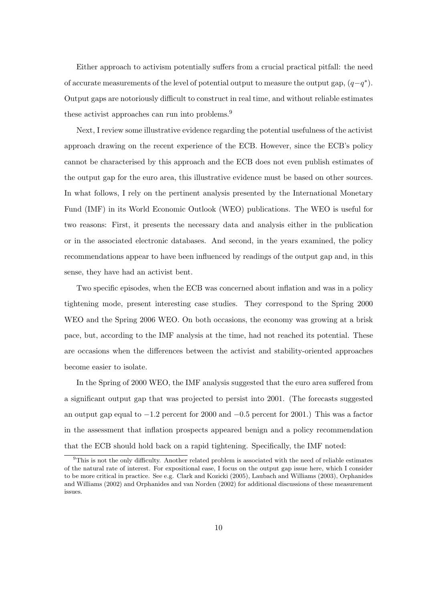Either approach to activism potentially suffers from a crucial practical pitfall: the need of accurate measurements of the level of potential output to measure the output gap,  $(q-q^*)$ . Output gaps are notoriously difficult to construct in real time, and without reliable estimates these activist approaches can run into problems.<sup>9</sup>

Next, I review some illustrative evidence regarding the potential usefulness of the activist approach drawing on the recent experience of the ECB. However, since the ECB's policy cannot be characterised by this approach and the ECB does not even publish estimates of the output gap for the euro area, this illustrative evidence must be based on other sources. In what follows, I rely on the pertinent analysis presented by the International Monetary Fund (IMF) in its World Economic Outlook (WEO) publications. The WEO is useful for two reasons: First, it presents the necessary data and analysis either in the publication or in the associated electronic databases. And second, in the years examined, the policy recommendations appear to have been influenced by readings of the output gap and, in this sense, they have had an activist bent.

Two specific episodes, when the ECB was concerned about inflation and was in a policy tightening mode, present interesting case studies. They correspond to the Spring 2000 WEO and the Spring 2006 WEO. On both occasions, the economy was growing at a brisk pace, but, according to the IMF analysis at the time, had not reached its potential. These are occasions when the differences between the activist and stability-oriented approaches become easier to isolate.

In the Spring of 2000 WEO, the IMF analysis suggested that the euro area suffered from a significant output gap that was projected to persist into 2001. (The forecasts suggested an output gap equal to −1.2 percent for 2000 and −0.5 percent for 2001.) This was a factor in the assessment that inflation prospects appeared benign and a policy recommendation that the ECB should hold back on a rapid tightening. Specifically, the IMF noted:

<sup>&</sup>lt;sup>9</sup>This is not the only difficulty. Another related problem is associated with the need of reliable estimates of the natural rate of interest. For expositional ease, I focus on the output gap issue here, which I consider to be more critical in practice. See e.g. Clark and Kozicki (2005), Laubach and Williams (2003), Orphanides and Williams (2002) and Orphanides and van Norden (2002) for additional discussions of these measurement issues.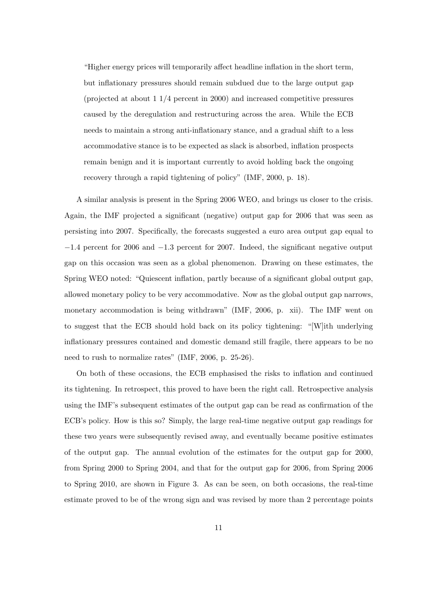"Higher energy prices will temporarily affect headline inflation in the short term, but inflationary pressures should remain subdued due to the large output gap (projected at about 1 1/4 percent in 2000) and increased competitive pressures caused by the deregulation and restructuring across the area. While the ECB needs to maintain a strong anti-inflationary stance, and a gradual shift to a less accommodative stance is to be expected as slack is absorbed, inflation prospects remain benign and it is important currently to avoid holding back the ongoing recovery through a rapid tightening of policy" (IMF, 2000, p. 18).

A similar analysis is present in the Spring 2006 WEO, and brings us closer to the crisis. Again, the IMF projected a significant (negative) output gap for 2006 that was seen as persisting into 2007. Specifically, the forecasts suggested a euro area output gap equal to −1.4 percent for 2006 and −1.3 percent for 2007. Indeed, the significant negative output gap on this occasion was seen as a global phenomenon. Drawing on these estimates, the Spring WEO noted: "Quiescent inflation, partly because of a significant global output gap, allowed monetary policy to be very accommodative. Now as the global output gap narrows, monetary accommodation is being withdrawn" (IMF, 2006, p. xii). The IMF went on to suggest that the ECB should hold back on its policy tightening: "[W]ith underlying inflationary pressures contained and domestic demand still fragile, there appears to be no need to rush to normalize rates" (IMF, 2006, p. 25-26).

On both of these occasions, the ECB emphasised the risks to inflation and continued its tightening. In retrospect, this proved to have been the right call. Retrospective analysis using the IMF's subsequent estimates of the output gap can be read as confirmation of the ECB's policy. How is this so? Simply, the large real-time negative output gap readings for these two years were subsequently revised away, and eventually became positive estimates of the output gap. The annual evolution of the estimates for the output gap for 2000, from Spring 2000 to Spring 2004, and that for the output gap for 2006, from Spring 2006 to Spring 2010, are shown in Figure 3. As can be seen, on both occasions, the real-time estimate proved to be of the wrong sign and was revised by more than 2 percentage points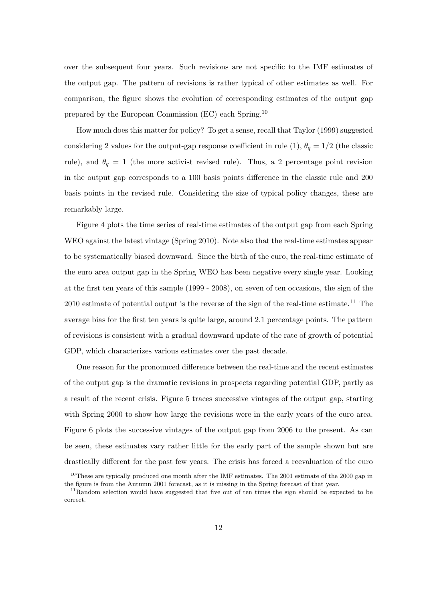over the subsequent four years. Such revisions are not specific to the IMF estimates of the output gap. The pattern of revisions is rather typical of other estimates as well. For comparison, the figure shows the evolution of corresponding estimates of the output gap prepared by the European Commission (EC) each Spring.<sup>10</sup>

How much does this matter for policy? To get a sense, recall that Taylor (1999) suggested considering 2 values for the output-gap response coefficient in rule (1),  $\theta_q = 1/2$  (the classic rule), and  $\theta_q = 1$  (the more activist revised rule). Thus, a 2 percentage point revision in the output gap corresponds to a 100 basis points difference in the classic rule and 200 basis points in the revised rule. Considering the size of typical policy changes, these are remarkably large.

Figure 4 plots the time series of real-time estimates of the output gap from each Spring WEO against the latest vintage (Spring 2010). Note also that the real-time estimates appear to be systematically biased downward. Since the birth of the euro, the real-time estimate of the euro area output gap in the Spring WEO has been negative every single year. Looking at the first ten years of this sample (1999 - 2008), on seven of ten occasions, the sign of the  $2010$  estimate of potential output is the reverse of the sign of the real-time estimate.<sup>11</sup> The average bias for the first ten years is quite large, around 2.1 percentage points. The pattern of revisions is consistent with a gradual downward update of the rate of growth of potential GDP, which characterizes various estimates over the past decade.

One reason for the pronounced difference between the real-time and the recent estimates of the output gap is the dramatic revisions in prospects regarding potential GDP, partly as a result of the recent crisis. Figure 5 traces successive vintages of the output gap, starting with Spring 2000 to show how large the revisions were in the early years of the euro area. Figure 6 plots the successive vintages of the output gap from 2006 to the present. As can be seen, these estimates vary rather little for the early part of the sample shown but are drastically different for the past few years. The crisis has forced a reevaluation of the euro

<sup>&</sup>lt;sup>10</sup>These are typically produced one month after the IMF estimates. The 2001 estimate of the 2000 gap in the figure is from the Autumn 2001 forecast, as it is missing in the Spring forecast of that year.

 $11$ Random selection would have suggested that five out of ten times the sign should be expected to be correct.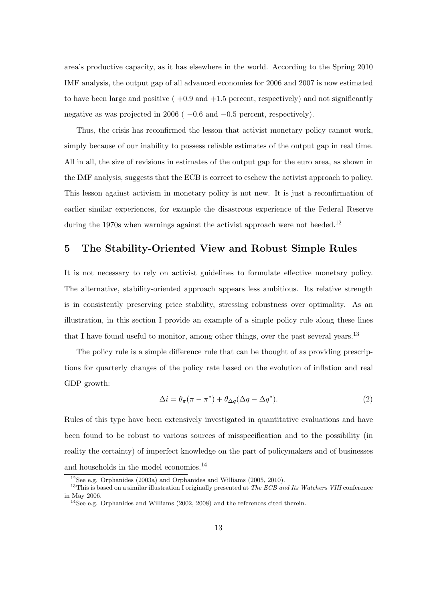area's productive capacity, as it has elsewhere in the world. According to the Spring 2010 IMF analysis, the output gap of all advanced economies for 2006 and 2007 is now estimated to have been large and positive  $( +0.9 \text{ and } +1.5 \text{ percent}, \text{respectively})$  and not significantly negative as was projected in 2006 ( −0.6 and −0.5 percent, respectively).

Thus, the crisis has reconfirmed the lesson that activist monetary policy cannot work, simply because of our inability to possess reliable estimates of the output gap in real time. All in all, the size of revisions in estimates of the output gap for the euro area, as shown in the IMF analysis, suggests that the ECB is correct to eschew the activist approach to policy. This lesson against activism in monetary policy is not new. It is just a reconfirmation of earlier similar experiences, for example the disastrous experience of the Federal Reserve during the 1970s when warnings against the activist approach were not heeded.<sup>12</sup>

## 5 The Stability-Oriented View and Robust Simple Rules

It is not necessary to rely on activist guidelines to formulate effective monetary policy. The alternative, stability-oriented approach appears less ambitious. Its relative strength is in consistently preserving price stability, stressing robustness over optimality. As an illustration, in this section I provide an example of a simple policy rule along these lines that I have found useful to monitor, among other things, over the past several years.<sup>13</sup>

The policy rule is a simple difference rule that can be thought of as providing prescriptions for quarterly changes of the policy rate based on the evolution of inflation and real GDP growth:

$$
\Delta i = \theta_{\pi}(\pi - \pi^*) + \theta_{\Delta q}(\Delta q - \Delta q^*).
$$
\n(2)

Rules of this type have been extensively investigated in quantitative evaluations and have been found to be robust to various sources of misspecification and to the possibility (in reality the certainty) of imperfect knowledge on the part of policymakers and of businesses and households in the model economies.<sup>14</sup>

 $12$ See e.g. Orphanides (2003a) and Orphanides and Williams (2005, 2010).

<sup>&</sup>lt;sup>13</sup>This is based on a similar illustration I originally presented at *The ECB and Its Watchers VIII* conference in May 2006.

 $14$ See e.g. Orphanides and Williams (2002, 2008) and the references cited therein.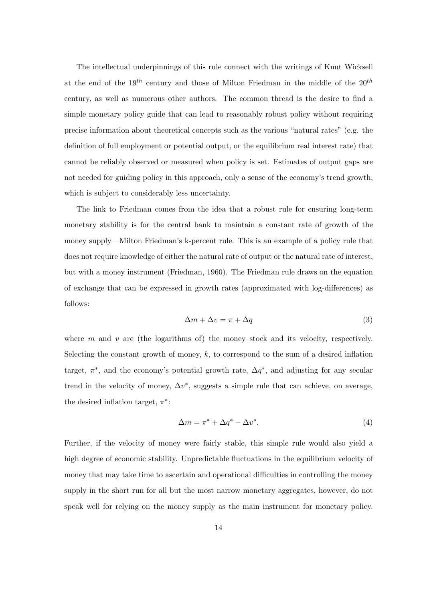The intellectual underpinnings of this rule connect with the writings of Knut Wicksell at the end of the  $19^{th}$  century and those of Milton Friedman in the middle of the  $20^{th}$ century, as well as numerous other authors. The common thread is the desire to find a simple monetary policy guide that can lead to reasonably robust policy without requiring precise information about theoretical concepts such as the various "natural rates" (e.g. the definition of full employment or potential output, or the equilibrium real interest rate) that cannot be reliably observed or measured when policy is set. Estimates of output gaps are not needed for guiding policy in this approach, only a sense of the economy's trend growth, which is subject to considerably less uncertainty.

The link to Friedman comes from the idea that a robust rule for ensuring long-term monetary stability is for the central bank to maintain a constant rate of growth of the money supply—Milton Friedman's k-percent rule. This is an example of a policy rule that does not require knowledge of either the natural rate of output or the natural rate of interest, but with a money instrument (Friedman, 1960). The Friedman rule draws on the equation of exchange that can be expressed in growth rates (approximated with log-differences) as follows:

$$
\Delta m + \Delta v = \pi + \Delta q \tag{3}
$$

where  $m$  and  $v$  are (the logarithms of) the money stock and its velocity, respectively. Selecting the constant growth of money,  $k$ , to correspond to the sum of a desired inflation target,  $\pi^*$ , and the economy's potential growth rate,  $\Delta q^*$ , and adjusting for any secular trend in the velocity of money,  $\Delta v^*$ , suggests a simple rule that can achieve, on average, the desired inflation target,  $\pi^*$ :

$$
\Delta m = \pi^* + \Delta q^* - \Delta v^*.
$$
\n<sup>(4)</sup>

Further, if the velocity of money were fairly stable, this simple rule would also yield a high degree of economic stability. Unpredictable fluctuations in the equilibrium velocity of money that may take time to ascertain and operational difficulties in controlling the money supply in the short run for all but the most narrow monetary aggregates, however, do not speak well for relying on the money supply as the main instrument for monetary policy.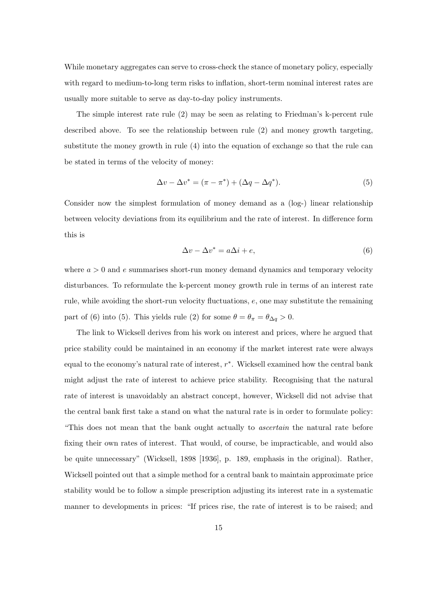While monetary aggregates can serve to cross-check the stance of monetary policy, especially with regard to medium-to-long term risks to inflation, short-term nominal interest rates are usually more suitable to serve as day-to-day policy instruments.

The simple interest rate rule (2) may be seen as relating to Friedman's k-percent rule described above. To see the relationship between rule (2) and money growth targeting, substitute the money growth in rule (4) into the equation of exchange so that the rule can be stated in terms of the velocity of money:

$$
\Delta v - \Delta v^* = (\pi - \pi^*) + (\Delta q - \Delta q^*).
$$
\n(5)

Consider now the simplest formulation of money demand as a (log-) linear relationship between velocity deviations from its equilibrium and the rate of interest. In difference form this is

$$
\Delta v - \Delta v^* = a\Delta i + e,\tag{6}
$$

where  $a > 0$  and e summarises short-run money demand dynamics and temporary velocity disturbances. To reformulate the k-percent money growth rule in terms of an interest rate rule, while avoiding the short-run velocity fluctuations, e, one may substitute the remaining part of (6) into (5). This yields rule (2) for some  $\theta = \theta_{\pi} = \theta_{\Delta q} > 0$ .

The link to Wicksell derives from his work on interest and prices, where he argued that price stability could be maintained in an economy if the market interest rate were always equal to the economy's natural rate of interest,  $r^*$ . Wicksell examined how the central bank might adjust the rate of interest to achieve price stability. Recognising that the natural rate of interest is unavoidably an abstract concept, however, Wicksell did not advise that the central bank first take a stand on what the natural rate is in order to formulate policy: "This does not mean that the bank ought actually to ascertain the natural rate before fixing their own rates of interest. That would, of course, be impracticable, and would also be quite unnecessary" (Wicksell, 1898 [1936], p. 189, emphasis in the original). Rather, Wicksell pointed out that a simple method for a central bank to maintain approximate price stability would be to follow a simple prescription adjusting its interest rate in a systematic manner to developments in prices: "If prices rise, the rate of interest is to be raised; and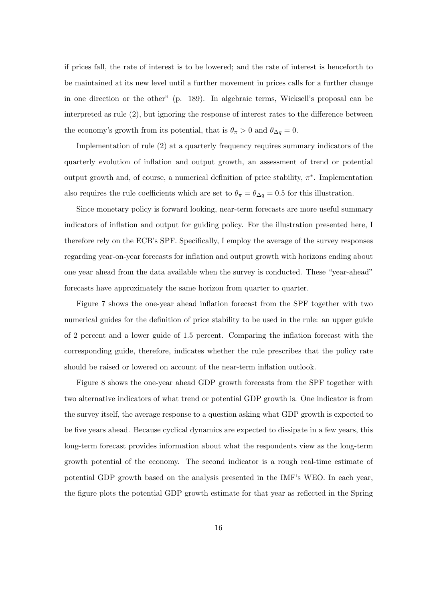if prices fall, the rate of interest is to be lowered; and the rate of interest is henceforth to be maintained at its new level until a further movement in prices calls for a further change in one direction or the other" (p. 189). In algebraic terms, Wicksell's proposal can be interpreted as rule (2), but ignoring the response of interest rates to the difference between the economy's growth from its potential, that is  $\theta_{\pi} > 0$  and  $\theta_{\Delta q} = 0$ .

Implementation of rule (2) at a quarterly frequency requires summary indicators of the quarterly evolution of inflation and output growth, an assessment of trend or potential output growth and, of course, a numerical definition of price stability,  $\pi^*$ . Implementation also requires the rule coefficients which are set to  $\theta_{\pi} = \theta_{\Delta q} = 0.5$  for this illustration.

Since monetary policy is forward looking, near-term forecasts are more useful summary indicators of inflation and output for guiding policy. For the illustration presented here, I therefore rely on the ECB's SPF. Specifically, I employ the average of the survey responses regarding year-on-year forecasts for inflation and output growth with horizons ending about one year ahead from the data available when the survey is conducted. These "year-ahead" forecasts have approximately the same horizon from quarter to quarter.

Figure 7 shows the one-year ahead inflation forecast from the SPF together with two numerical guides for the definition of price stability to be used in the rule: an upper guide of 2 percent and a lower guide of 1.5 percent. Comparing the inflation forecast with the corresponding guide, therefore, indicates whether the rule prescribes that the policy rate should be raised or lowered on account of the near-term inflation outlook.

Figure 8 shows the one-year ahead GDP growth forecasts from the SPF together with two alternative indicators of what trend or potential GDP growth is. One indicator is from the survey itself, the average response to a question asking what GDP growth is expected to be five years ahead. Because cyclical dynamics are expected to dissipate in a few years, this long-term forecast provides information about what the respondents view as the long-term growth potential of the economy. The second indicator is a rough real-time estimate of potential GDP growth based on the analysis presented in the IMF's WEO. In each year, the figure plots the potential GDP growth estimate for that year as reflected in the Spring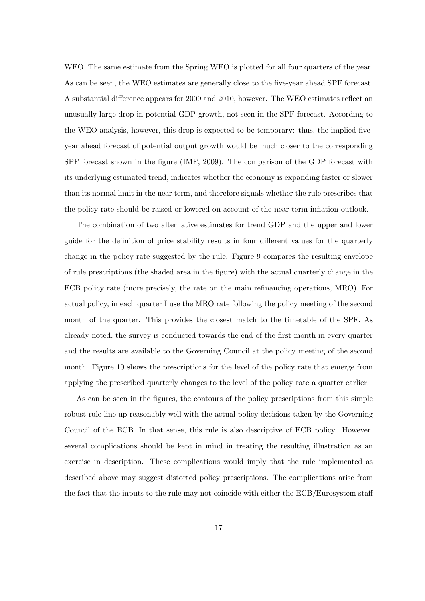WEO. The same estimate from the Spring WEO is plotted for all four quarters of the year. As can be seen, the WEO estimates are generally close to the five-year ahead SPF forecast. A substantial difference appears for 2009 and 2010, however. The WEO estimates reflect an unusually large drop in potential GDP growth, not seen in the SPF forecast. According to the WEO analysis, however, this drop is expected to be temporary: thus, the implied fiveyear ahead forecast of potential output growth would be much closer to the corresponding SPF forecast shown in the figure (IMF, 2009). The comparison of the GDP forecast with its underlying estimated trend, indicates whether the economy is expanding faster or slower than its normal limit in the near term, and therefore signals whether the rule prescribes that the policy rate should be raised or lowered on account of the near-term inflation outlook.

The combination of two alternative estimates for trend GDP and the upper and lower guide for the definition of price stability results in four different values for the quarterly change in the policy rate suggested by the rule. Figure 9 compares the resulting envelope of rule prescriptions (the shaded area in the figure) with the actual quarterly change in the ECB policy rate (more precisely, the rate on the main refinancing operations, MRO). For actual policy, in each quarter I use the MRO rate following the policy meeting of the second month of the quarter. This provides the closest match to the timetable of the SPF. As already noted, the survey is conducted towards the end of the first month in every quarter and the results are available to the Governing Council at the policy meeting of the second month. Figure 10 shows the prescriptions for the level of the policy rate that emerge from applying the prescribed quarterly changes to the level of the policy rate a quarter earlier.

As can be seen in the figures, the contours of the policy prescriptions from this simple robust rule line up reasonably well with the actual policy decisions taken by the Governing Council of the ECB. In that sense, this rule is also descriptive of ECB policy. However, several complications should be kept in mind in treating the resulting illustration as an exercise in description. These complications would imply that the rule implemented as described above may suggest distorted policy prescriptions. The complications arise from the fact that the inputs to the rule may not coincide with either the ECB/Eurosystem staff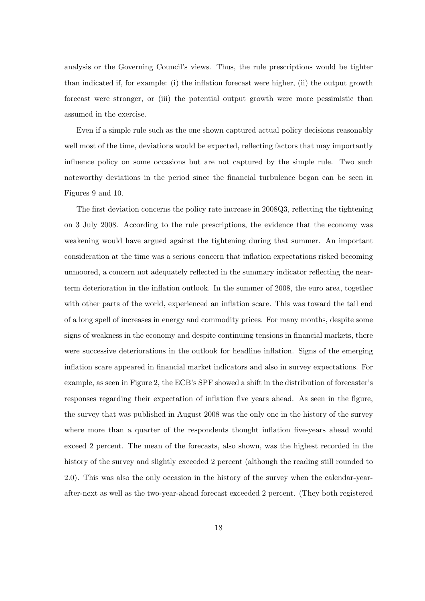analysis or the Governing Council's views. Thus, the rule prescriptions would be tighter than indicated if, for example: (i) the inflation forecast were higher, (ii) the output growth forecast were stronger, or (iii) the potential output growth were more pessimistic than assumed in the exercise.

Even if a simple rule such as the one shown captured actual policy decisions reasonably well most of the time, deviations would be expected, reflecting factors that may importantly influence policy on some occasions but are not captured by the simple rule. Two such noteworthy deviations in the period since the financial turbulence began can be seen in Figures 9 and 10.

The first deviation concerns the policy rate increase in 2008Q3, reflecting the tightening on 3 July 2008. According to the rule prescriptions, the evidence that the economy was weakening would have argued against the tightening during that summer. An important consideration at the time was a serious concern that inflation expectations risked becoming unmoored, a concern not adequately reflected in the summary indicator reflecting the nearterm deterioration in the inflation outlook. In the summer of 2008, the euro area, together with other parts of the world, experienced an inflation scare. This was toward the tail end of a long spell of increases in energy and commodity prices. For many months, despite some signs of weakness in the economy and despite continuing tensions in financial markets, there were successive deteriorations in the outlook for headline inflation. Signs of the emerging inflation scare appeared in financial market indicators and also in survey expectations. For example, as seen in Figure 2, the ECB's SPF showed a shift in the distribution of forecaster's responses regarding their expectation of inflation five years ahead. As seen in the figure, the survey that was published in August 2008 was the only one in the history of the survey where more than a quarter of the respondents thought inflation five-years ahead would exceed 2 percent. The mean of the forecasts, also shown, was the highest recorded in the history of the survey and slightly exceeded 2 percent (although the reading still rounded to 2.0). This was also the only occasion in the history of the survey when the calendar-yearafter-next as well as the two-year-ahead forecast exceeded 2 percent. (They both registered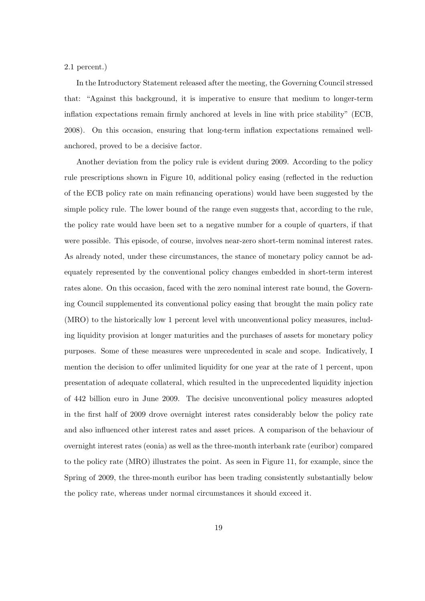#### 2.1 percent.)

In the Introductory Statement released after the meeting, the Governing Council stressed that: "Against this background, it is imperative to ensure that medium to longer-term inflation expectations remain firmly anchored at levels in line with price stability" (ECB, 2008). On this occasion, ensuring that long-term inflation expectations remained wellanchored, proved to be a decisive factor.

Another deviation from the policy rule is evident during 2009. According to the policy rule prescriptions shown in Figure 10, additional policy easing (reflected in the reduction of the ECB policy rate on main refinancing operations) would have been suggested by the simple policy rule. The lower bound of the range even suggests that, according to the rule, the policy rate would have been set to a negative number for a couple of quarters, if that were possible. This episode, of course, involves near-zero short-term nominal interest rates. As already noted, under these circumstances, the stance of monetary policy cannot be adequately represented by the conventional policy changes embedded in short-term interest rates alone. On this occasion, faced with the zero nominal interest rate bound, the Governing Council supplemented its conventional policy easing that brought the main policy rate (MRO) to the historically low 1 percent level with unconventional policy measures, including liquidity provision at longer maturities and the purchases of assets for monetary policy purposes. Some of these measures were unprecedented in scale and scope. Indicatively, I mention the decision to offer unlimited liquidity for one year at the rate of 1 percent, upon presentation of adequate collateral, which resulted in the unprecedented liquidity injection of 442 billion euro in June 2009. The decisive unconventional policy measures adopted in the first half of 2009 drove overnight interest rates considerably below the policy rate and also influenced other interest rates and asset prices. A comparison of the behaviour of overnight interest rates (eonia) as well as the three-month interbank rate (euribor) compared to the policy rate (MRO) illustrates the point. As seen in Figure 11, for example, since the Spring of 2009, the three-month euribor has been trading consistently substantially below the policy rate, whereas under normal circumstances it should exceed it.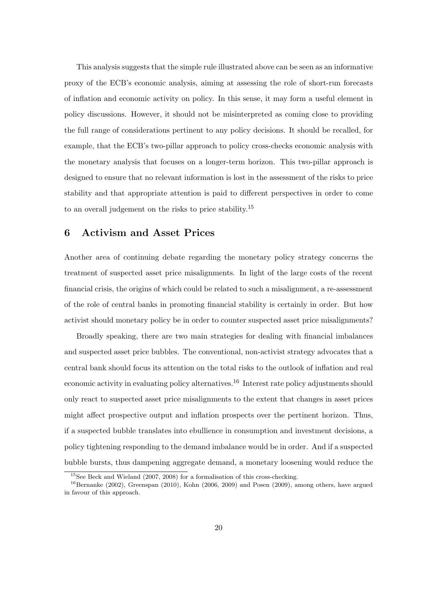This analysis suggests that the simple rule illustrated above can be seen as an informative proxy of the ECB's economic analysis, aiming at assessing the role of short-run forecasts of inflation and economic activity on policy. In this sense, it may form a useful element in policy discussions. However, it should not be misinterpreted as coming close to providing the full range of considerations pertinent to any policy decisions. It should be recalled, for example, that the ECB's two-pillar approach to policy cross-checks economic analysis with the monetary analysis that focuses on a longer-term horizon. This two-pillar approach is designed to ensure that no relevant information is lost in the assessment of the risks to price stability and that appropriate attention is paid to different perspectives in order to come to an overall judgement on the risks to price stability.<sup>15</sup>

## 6 Activism and Asset Prices

Another area of continuing debate regarding the monetary policy strategy concerns the treatment of suspected asset price misalignments. In light of the large costs of the recent financial crisis, the origins of which could be related to such a misalignment, a re-assessment of the role of central banks in promoting financial stability is certainly in order. But how activist should monetary policy be in order to counter suspected asset price misalignments?

Broadly speaking, there are two main strategies for dealing with financial imbalances and suspected asset price bubbles. The conventional, non-activist strategy advocates that a central bank should focus its attention on the total risks to the outlook of inflation and real economic activity in evaluating policy alternatives.<sup>16</sup> Interest rate policy adjustments should only react to suspected asset price misalignments to the extent that changes in asset prices might affect prospective output and inflation prospects over the pertinent horizon. Thus, if a suspected bubble translates into ebullience in consumption and investment decisions, a policy tightening responding to the demand imbalance would be in order. And if a suspected bubble bursts, thus dampening aggregate demand, a monetary loosening would reduce the

 $^{15}{\rm{See}}$  Beck and Wieland (2007, 2008) for a formalisation of this cross-checking.

 $^{16}$ Bernanke (2002), Greenspan (2010), Kohn (2006, 2009) and Posen (2009), among others, have argued in favour of this approach.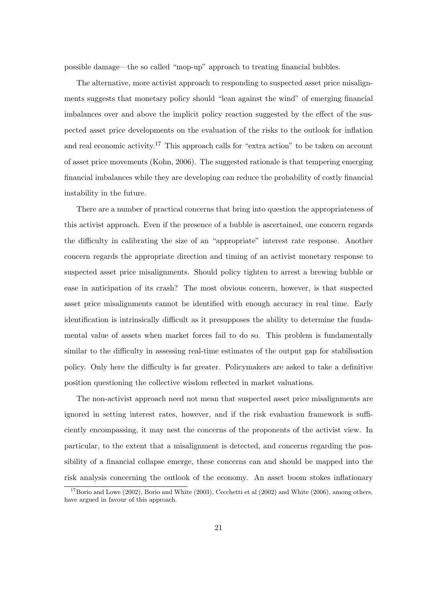possible damage—the so called "mop-up" approach to treating financial bubbles.

The alternative, more activist approach to responding to suspected asset price misalignments suggests that monetary policy should "lean against the wind" of emerging financial imbalances over and above the implicit policy reaction suggested by the effect of the suspected asset price developments on the evaluation of the risks to the outlook for inflation and real economic activity.<sup>17</sup> This approach calls for "extra action" to be taken on account of asset price movements (Kohn, 2006). The suggested rationale is that tempering emerging financial imbalances while they are developing can reduce the probability of costly financial instability in the future.

There are a number of practical concerns that bring into question the appropriateness of this activist approach. Even if the presence of a bubble is ascertained, one concern regards the difficulty in calibrating the size of an "appropriate" interest rate response. Another concern regards the appropriate direction and timing of an activist monetary response to suspected asset price misalignments. Should policy tighten to arrest a brewing bubble or ease in anticipation of its crash? The most obvious concern, however, is that suspected asset price misalignments cannot be identified with enough accuracy in real time. Early identification is intrinsically difficult as it presupposes the ability to determine the fundamental value of assets when market forces fail to do so. This problem is fundamentally similar to the difficulty in assessing real-time estimates of the output gap for stabilisation policy. Only here the difficulty is far greater. Policymakers are asked to take a definitive position questioning the collective wisdom reflected in market valuations.

The non-activist approach need not mean that suspected asset price misalignments are ignored in setting interest rates, however, and if the risk evaluation framework is sufficiently encompassing, it may nest the concerns of the proponents of the activist view. In particular, to the extent that a misalignment is detected, and concerns regarding the possibility of a financial collapse emerge, these concerns can and should be mapped into the risk analysis concerning the outlook of the economy. An asset boom stokes inflationary

 $17$ Borio and Lowe (2002), Borio and White (2003), Cecchetti et al (2002) and White (2006), among others, have argued in favour of this approach.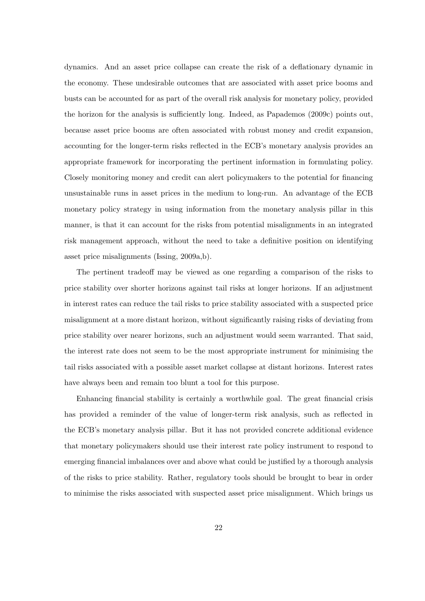dynamics. And an asset price collapse can create the risk of a deflationary dynamic in the economy. These undesirable outcomes that are associated with asset price booms and busts can be accounted for as part of the overall risk analysis for monetary policy, provided the horizon for the analysis is sufficiently long. Indeed, as Papademos (2009c) points out, because asset price booms are often associated with robust money and credit expansion, accounting for the longer-term risks reflected in the ECB's monetary analysis provides an appropriate framework for incorporating the pertinent information in formulating policy. Closely monitoring money and credit can alert policymakers to the potential for financing unsustainable runs in asset prices in the medium to long-run. An advantage of the ECB monetary policy strategy in using information from the monetary analysis pillar in this manner, is that it can account for the risks from potential misalignments in an integrated risk management approach, without the need to take a definitive position on identifying asset price misalignments (Issing, 2009a,b).

The pertinent tradeoff may be viewed as one regarding a comparison of the risks to price stability over shorter horizons against tail risks at longer horizons. If an adjustment in interest rates can reduce the tail risks to price stability associated with a suspected price misalignment at a more distant horizon, without significantly raising risks of deviating from price stability over nearer horizons, such an adjustment would seem warranted. That said, the interest rate does not seem to be the most appropriate instrument for minimising the tail risks associated with a possible asset market collapse at distant horizons. Interest rates have always been and remain too blunt a tool for this purpose.

Enhancing financial stability is certainly a worthwhile goal. The great financial crisis has provided a reminder of the value of longer-term risk analysis, such as reflected in the ECB's monetary analysis pillar. But it has not provided concrete additional evidence that monetary policymakers should use their interest rate policy instrument to respond to emerging financial imbalances over and above what could be justified by a thorough analysis of the risks to price stability. Rather, regulatory tools should be brought to bear in order to minimise the risks associated with suspected asset price misalignment. Which brings us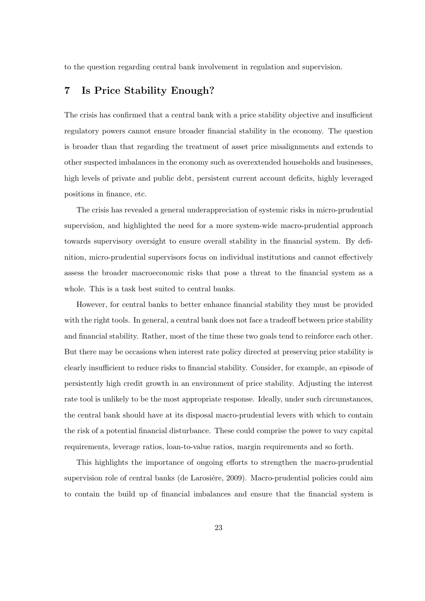to the question regarding central bank involvement in regulation and supervision.

## 7 Is Price Stability Enough?

The crisis has confirmed that a central bank with a price stability objective and insufficient regulatory powers cannot ensure broader financial stability in the economy. The question is broader than that regarding the treatment of asset price misalignments and extends to other suspected imbalances in the economy such as overextended households and businesses, high levels of private and public debt, persistent current account deficits, highly leveraged positions in finance, etc.

The crisis has revealed a general underappreciation of systemic risks in micro-prudential supervision, and highlighted the need for a more system-wide macro-prudential approach towards supervisory oversight to ensure overall stability in the financial system. By definition, micro-prudential supervisors focus on individual institutions and cannot effectively assess the broader macroeconomic risks that pose a threat to the financial system as a whole. This is a task best suited to central banks.

However, for central banks to better enhance financial stability they must be provided with the right tools. In general, a central bank does not face a tradeoff between price stability and financial stability. Rather, most of the time these two goals tend to reinforce each other. But there may be occasions when interest rate policy directed at preserving price stability is clearly insufficient to reduce risks to financial stability. Consider, for example, an episode of persistently high credit growth in an environment of price stability. Adjusting the interest rate tool is unlikely to be the most appropriate response. Ideally, under such circumstances, the central bank should have at its disposal macro-prudential levers with which to contain the risk of a potential financial disturbance. These could comprise the power to vary capital requirements, leverage ratios, loan-to-value ratios, margin requirements and so forth.

This highlights the importance of ongoing efforts to strengthen the macro-prudential supervision role of central banks (de Larosière, 2009). Macro-prudential policies could aim to contain the build up of financial imbalances and ensure that the financial system is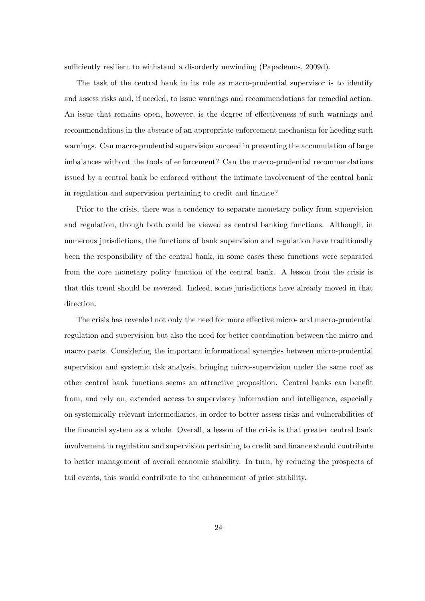sufficiently resilient to withstand a disorderly unwinding (Papademos, 2009d).

The task of the central bank in its role as macro-prudential supervisor is to identify and assess risks and, if needed, to issue warnings and recommendations for remedial action. An issue that remains open, however, is the degree of effectiveness of such warnings and recommendations in the absence of an appropriate enforcement mechanism for heeding such warnings. Can macro-prudential supervision succeed in preventing the accumulation of large imbalances without the tools of enforcement? Can the macro-prudential recommendations issued by a central bank be enforced without the intimate involvement of the central bank in regulation and supervision pertaining to credit and finance?

Prior to the crisis, there was a tendency to separate monetary policy from supervision and regulation, though both could be viewed as central banking functions. Although, in numerous jurisdictions, the functions of bank supervision and regulation have traditionally been the responsibility of the central bank, in some cases these functions were separated from the core monetary policy function of the central bank. A lesson from the crisis is that this trend should be reversed. Indeed, some jurisdictions have already moved in that direction.

The crisis has revealed not only the need for more effective micro- and macro-prudential regulation and supervision but also the need for better coordination between the micro and macro parts. Considering the important informational synergies between micro-prudential supervision and systemic risk analysis, bringing micro-supervision under the same roof as other central bank functions seems an attractive proposition. Central banks can benefit from, and rely on, extended access to supervisory information and intelligence, especially on systemically relevant intermediaries, in order to better assess risks and vulnerabilities of the financial system as a whole. Overall, a lesson of the crisis is that greater central bank involvement in regulation and supervision pertaining to credit and finance should contribute to better management of overall economic stability. In turn, by reducing the prospects of tail events, this would contribute to the enhancement of price stability.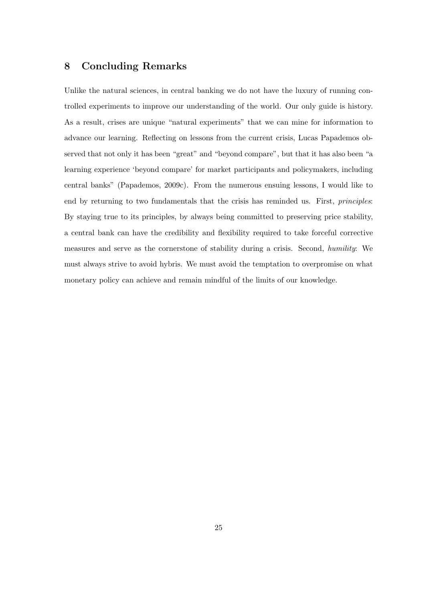### 8 Concluding Remarks

Unlike the natural sciences, in central banking we do not have the luxury of running controlled experiments to improve our understanding of the world. Our only guide is history. As a result, crises are unique "natural experiments" that we can mine for information to advance our learning. Reflecting on lessons from the current crisis, Lucas Papademos observed that not only it has been "great" and "beyond compare", but that it has also been "a learning experience 'beyond compare' for market participants and policymakers, including central banks" (Papademos, 2009c). From the numerous ensuing lessons, I would like to end by returning to two fundamentals that the crisis has reminded us. First, principles: By staying true to its principles, by always being committed to preserving price stability, a central bank can have the credibility and flexibility required to take forceful corrective measures and serve as the cornerstone of stability during a crisis. Second, humility: We must always strive to avoid hybris. We must avoid the temptation to overpromise on what monetary policy can achieve and remain mindful of the limits of our knowledge.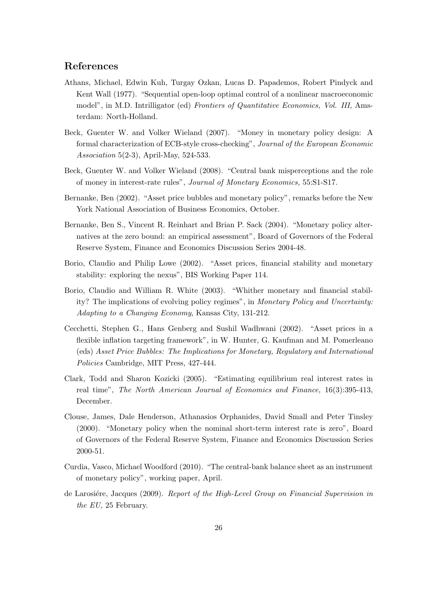#### References

- Athans, Michael, Edwin Kuh, Turgay Ozkan, Lucas D. Papademos, Robert Pindyck and Kent Wall (1977). "Sequential open-loop optimal control of a nonlinear macroeconomic model", in M.D. Intrilligator (ed) Frontiers of Quantitative Economics, Vol. III, Amsterdam: North-Holland.
- Beck, Guenter W. and Volker Wieland (2007). "Money in monetary policy design: A formal characterization of ECB-style cross-checking", Journal of the European Economic Association 5(2-3), April-May, 524-533.
- Beck, Guenter W. and Volker Wieland (2008). "Central bank misperceptions and the role of money in interest-rate rules", Journal of Monetary Economics, 55:S1-S17.
- Bernanke, Ben (2002). "Asset price bubbles and monetary policy", remarks before the New York National Association of Business Economics, October.
- Bernanke, Ben S., Vincent R. Reinhart and Brian P. Sack (2004). "Monetary policy alternatives at the zero bound: an empirical assessment", Board of Governors of the Federal Reserve System, Finance and Economics Discussion Series 2004-48.
- Borio, Claudio and Philip Lowe (2002). "Asset prices, financial stability and monetary stability: exploring the nexus", BIS Working Paper 114.
- Borio, Claudio and William R. White (2003). "Whither monetary and financial stability? The implications of evolving policy regimes", in Monetary Policy and Uncertainty: Adapting to a Changing Economy, Kansas City, 131-212.
- Cecchetti, Stephen G., Hans Genberg and Sushil Wadhwani (2002). "Asset prices in a flexible inflation targeting framework", in W. Hunter, G. Kaufman and M. Pomerleano (eds) Asset Price Bubbles: The Implications for Monetary, Regulatory and International Policies Cambridge, MIT Press, 427-444.
- Clark, Todd and Sharon Kozicki (2005). "Estimating equilibrium real interest rates in real time", The North American Journal of Economics and Finance, 16(3):395-413, December.
- Clouse, James, Dale Henderson, Athanasios Orphanides, David Small and Peter Tinsley (2000). "Monetary policy when the nominal short-term interest rate is zero", Board of Governors of the Federal Reserve System, Finance and Economics Discussion Series 2000-51.
- Curdia, Vasco, Michael Woodford (2010). "The central-bank balance sheet as an instrument of monetary policy", working paper, April.
- de Larosière, Jacques (2009). Report of the High-Level Group on Financial Supervision in the EU, 25 February.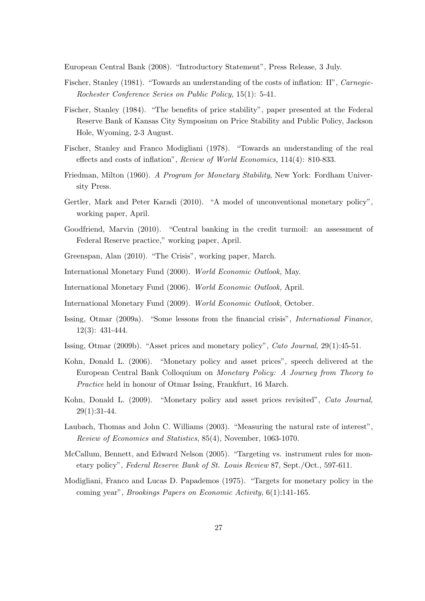European Central Bank (2008). "Introductory Statement", Press Release, 3 July.

- Fischer, Stanley (1981). "Towards an understanding of the costs of inflation: II", *Carnegie-*Rochester Conference Series on Public Policy, 15(1): 5-41.
- Fischer, Stanley (1984). "The benefits of price stability", paper presented at the Federal Reserve Bank of Kansas City Symposium on Price Stability and Public Policy, Jackson Hole, Wyoming, 2-3 August.
- Fischer, Stanley and Franco Modigliani (1978). "Towards an understanding of the real effects and costs of inflation", Review of World Economics, 114(4): 810-833.
- Friedman, Milton (1960). A Program for Monetary Stability, New York: Fordham University Press.
- Gertler, Mark and Peter Karadi (2010). "A model of unconventional monetary policy", working paper, April.
- Goodfriend, Marvin (2010). "Central banking in the credit turmoil: an assessment of Federal Reserve practice," working paper, April.
- Greenspan, Alan (2010). "The Crisis", working paper, March.

International Monetary Fund (2000). World Economic Outlook, May.

International Monetary Fund (2006). World Economic Outlook, April.

International Monetary Fund (2009). World Economic Outlook, October.

- Issing, Otmar (2009a). "Some lessons from the financial crisis", International Finance, 12(3): 431-444.
- Issing, Otmar (2009b). "Asset prices and monetary policy", Cato Journal, 29(1):45-51.
- Kohn, Donald L. (2006). "Monetary policy and asset prices", speech delivered at the European Central Bank Colloquium on Monetary Policy: A Journey from Theory to Practice held in honour of Otmar Issing, Frankfurt, 16 March.
- Kohn, Donald L. (2009). "Monetary policy and asset prices revisited", Cato Journal, 29(1):31-44.
- Laubach, Thomas and John C. Williams (2003). "Measuring the natural rate of interest", Review of Economics and Statistics, 85(4), November, 1063-1070.
- McCallum, Bennett, and Edward Nelson (2005). "Targeting vs. instrument rules for monetary policy", Federal Reserve Bank of St. Louis Review 87, Sept./Oct., 597-611.
- Modigliani, Franco and Lucas D. Papademos (1975). "Targets for monetary policy in the coming year", Brookings Papers on Economic Activity, 6(1):141-165.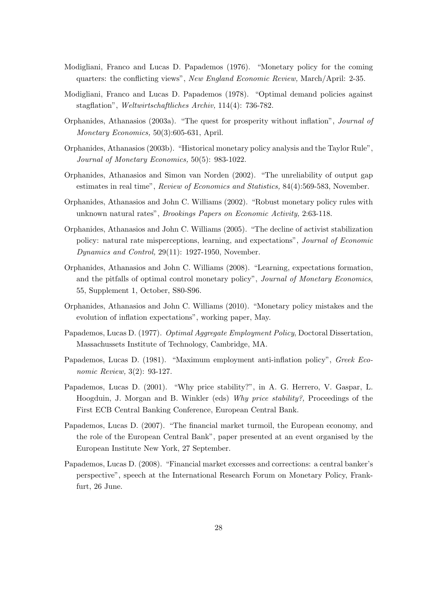- Modigliani, Franco and Lucas D. Papademos (1976). "Monetary policy for the coming quarters: the conflicting views", New England Economic Review, March/April: 2-35.
- Modigliani, Franco and Lucas D. Papademos (1978). "Optimal demand policies against stagflation", Weltwirtschaftliches Archiv, 114(4): 736-782.
- Orphanides, Athanasios (2003a). "The quest for prosperity without inflation", Journal of Monetary Economics, 50(3):605-631, April.
- Orphanides, Athanasios (2003b). "Historical monetary policy analysis and the Taylor Rule", Journal of Monetary Economics, 50(5): 983-1022.
- Orphanides, Athanasios and Simon van Norden (2002). "The unreliability of output gap estimates in real time", Review of Economics and Statistics, 84(4):569-583, November.
- Orphanides, Athanasios and John C. Williams (2002). "Robust monetary policy rules with unknown natural rates", Brookings Papers on Economic Activity, 2:63-118.
- Orphanides, Athanasios and John C. Williams (2005). "The decline of activist stabilization policy: natural rate misperceptions, learning, and expectations", Journal of Economic Dynamics and Control, 29(11): 1927-1950, November.
- Orphanides, Athanasios and John C. Williams (2008). "Learning, expectations formation, and the pitfalls of optimal control monetary policy", Journal of Monetary Economics, 55, Supplement 1, October, S80-S96.
- Orphanides, Athanasios and John C. Williams (2010). "Monetary policy mistakes and the evolution of inflation expectations", working paper, May.
- Papademos, Lucas D. (1977). Optimal Aggregate Employment Policy, Doctoral Dissertation, Massachussets Institute of Technology, Cambridge, MA.
- Papademos, Lucas D. (1981). "Maximum employment anti-inflation policy", Greek Economic Review, 3(2): 93-127.
- Papademos, Lucas D. (2001). "Why price stability?", in A. G. Herrero, V. Gaspar, L. Hoogduin, J. Morgan and B. Winkler (eds) Why price stability?, Proceedings of the First ECB Central Banking Conference, European Central Bank.
- Papademos, Lucas D. (2007). "The financial market turmoil, the European economy, and the role of the European Central Bank", paper presented at an event organised by the European Institute New York, 27 September.
- Papademos, Lucas D. (2008). "Financial market excesses and corrections: a central banker's perspective", speech at the International Research Forum on Monetary Policy, Frankfurt, 26 June.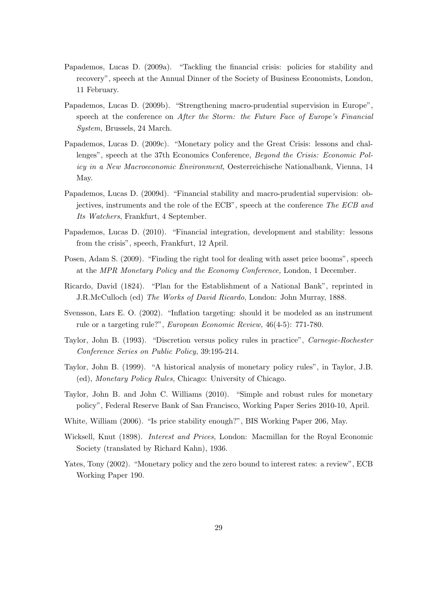- Papademos, Lucas D. (2009a). "Tackling the financial crisis: policies for stability and recovery", speech at the Annual Dinner of the Society of Business Economists, London, 11 February.
- Papademos, Lucas D. (2009b). "Strengthening macro-prudential supervision in Europe", speech at the conference on After the Storm: the Future Face of Europe's Financial System, Brussels, 24 March.
- Papademos, Lucas D. (2009c). "Monetary policy and the Great Crisis: lessons and challenges", speech at the 37th Economics Conference, Beyond the Crisis: Economic Policy in a New Macroeconomic Environment, Oesterreichische Nationalbank, Vienna, 14 May.
- Papademos, Lucas D. (2009d). "Financial stability and macro-prudential supervision: objectives, instruments and the role of the ECB", speech at the conference The ECB and Its Watchers, Frankfurt, 4 September.
- Papademos, Lucas D. (2010). "Financial integration, development and stability: lessons from the crisis", speech, Frankfurt, 12 April.
- Posen, Adam S. (2009). "Finding the right tool for dealing with asset price booms", speech at the MPR Monetary Policy and the Economy Conference, London, 1 December.
- Ricardo, David (1824). "Plan for the Establishment of a National Bank", reprinted in J.R.McCulloch (ed) The Works of David Ricardo, London: John Murray, 1888.
- Svensson, Lars E. O. (2002). "Inflation targeting: should it be modeled as an instrument rule or a targeting rule?", European Economic Review, 46(4-5): 771-780.
- Taylor, John B. (1993). "Discretion versus policy rules in practice", Carnegie-Rochester Conference Series on Public Policy, 39:195-214.
- Taylor, John B. (1999). "A historical analysis of monetary policy rules", in Taylor, J.B. (ed), Monetary Policy Rules, Chicago: University of Chicago.
- Taylor, John B. and John C. Williams (2010). "Simple and robust rules for monetary policy", Federal Reserve Bank of San Francisco, Working Paper Series 2010-10, April.
- White, William (2006). "Is price stability enough?", BIS Working Paper 206, May.
- Wicksell, Knut (1898). Interest and Prices, London: Macmillan for the Royal Economic Society (translated by Richard Kahn), 1936.
- Yates, Tony (2002). "Monetary policy and the zero bound to interest rates: a review", ECB Working Paper 190.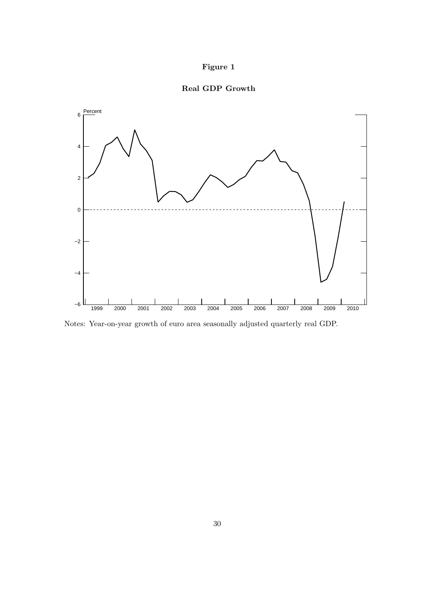





Notes: Year-on-year growth of euro area seasonally adjusted quarterly real GDP.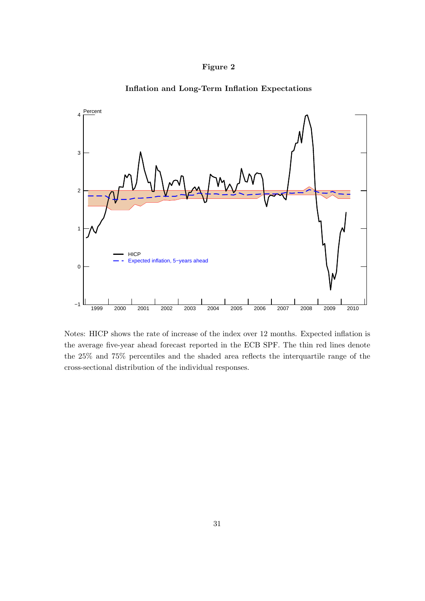

Inflation and Long-Term Inflation Expectations

Notes: HICP shows the rate of increase of the index over 12 months. Expected inflation is the average five-year ahead forecast reported in the ECB SPF. The thin red lines denote the 25% and 75% percentiles and the shaded area reflects the interquartile range of the cross-sectional distribution of the individual responses.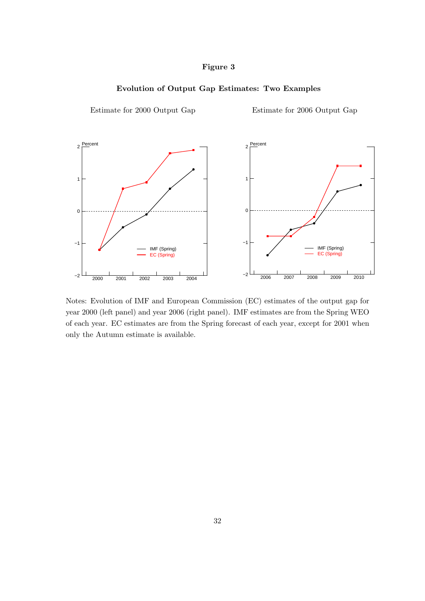

#### Evolution of Output Gap Estimates: Two Examples

Notes: Evolution of IMF and European Commission (EC) estimates of the output gap for year 2000 (left panel) and year 2006 (right panel). IMF estimates are from the Spring WEO of each year. EC estimates are from the Spring forecast of each year, except for 2001 when only the Autumn estimate is available.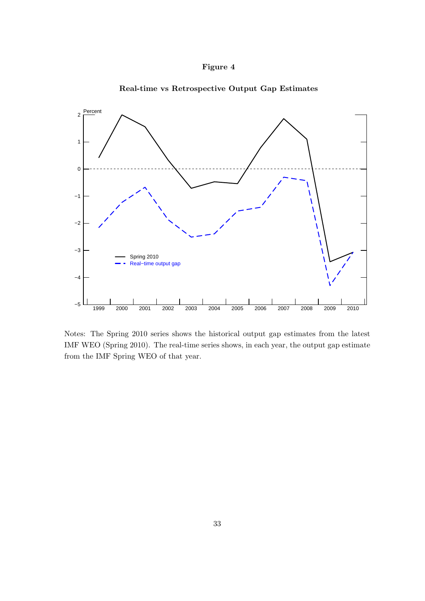



Real-time vs Retrospective Output Gap Estimates

Notes: The Spring 2010 series shows the historical output gap estimates from the latest IMF WEO (Spring 2010). The real-time series shows, in each year, the output gap estimate from the IMF Spring WEO of that year.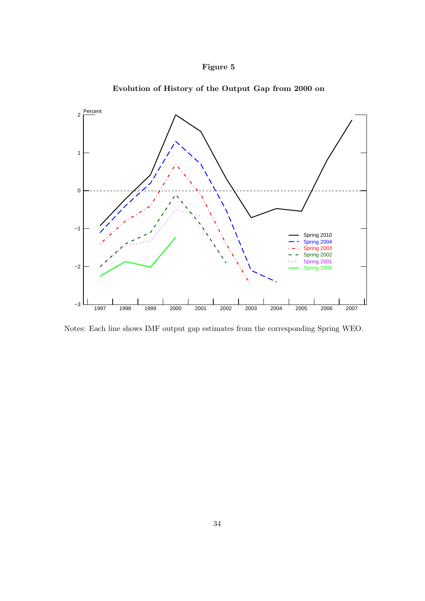

Evolution of History of the Output Gap from 2000 on

Notes: Each line shows IMF output gap estimates from the corresponding Spring WEO.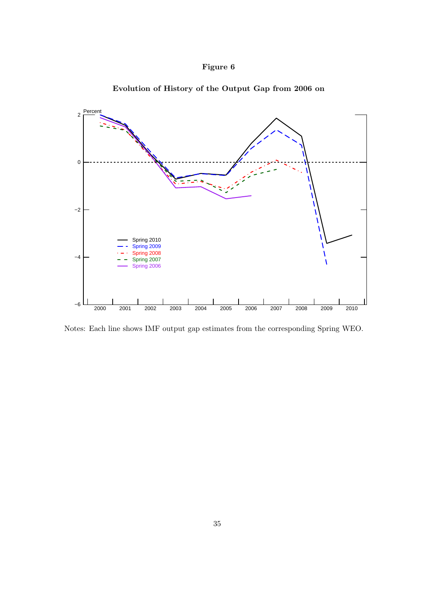



Evolution of History of the Output Gap from 2006 on

Notes: Each line shows IMF output gap estimates from the corresponding Spring WEO.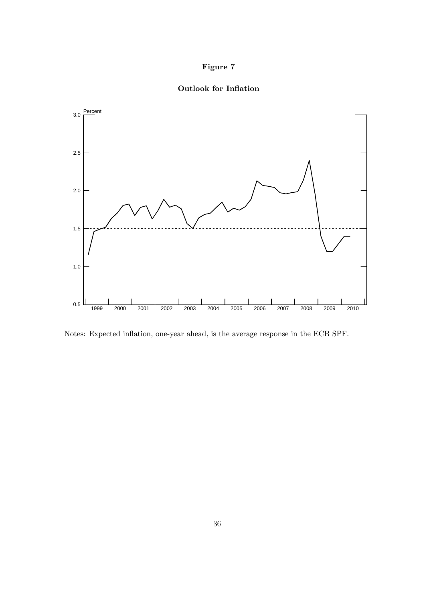



Notes: Expected inflation, one-year ahead, is the average response in the ECB SPF.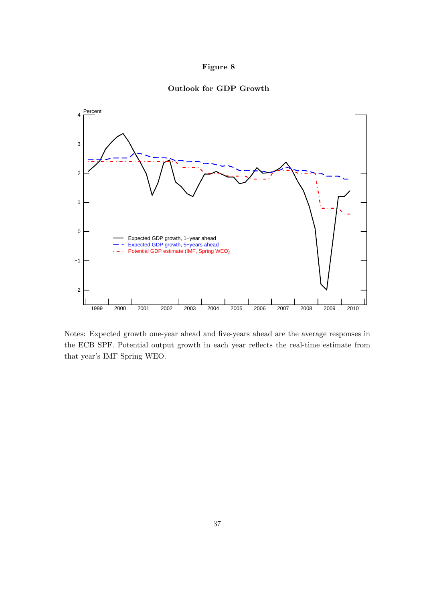#### Outlook for GDP Growth



Notes: Expected growth one-year ahead and five-years ahead are the average responses in the ECB SPF. Potential output growth in each year reflects the real-time estimate from that year's IMF Spring WEO.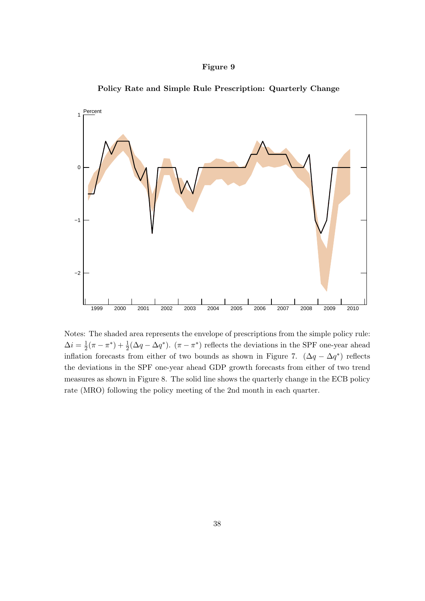



Policy Rate and Simple Rule Prescription: Quarterly Change

Notes: The shaded area represents the envelope of prescriptions from the simple policy rule:  $\Delta i = \frac{1}{2}(\pi - \pi^*) + \frac{1}{2}(\Delta q - \Delta q^*)$ .  $(\pi - \pi^*)$  reflects the deviations in the SPF one-year ahead inflation forecasts from either of two bounds as shown in Figure 7.  $(\Delta q - \Delta q^*)$  reflects the deviations in the SPF one-year ahead GDP growth forecasts from either of two trend measures as shown in Figure 8. The solid line shows the quarterly change in the ECB policy rate (MRO) following the policy meeting of the 2nd month in each quarter.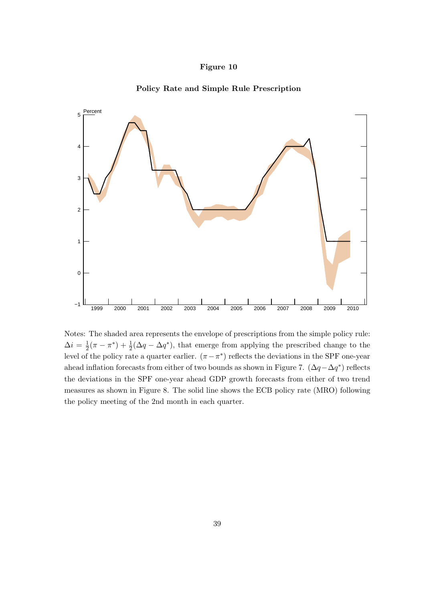

Policy Rate and Simple Rule Prescription

Notes: The shaded area represents the envelope of prescriptions from the simple policy rule:  $\Delta i = \frac{1}{2}(\pi - \pi^*) + \frac{1}{2}(\Delta q - \Delta q^*)$ , that emerge from applying the prescribed change to the level of the policy rate a quarter earlier.  $(\pi - \pi^*)$  reflects the deviations in the SPF one-year ahead inflation forecasts from either of two bounds as shown in Figure 7.  $(\Delta q - \Delta q^*)$  reflects the deviations in the SPF one-year ahead GDP growth forecasts from either of two trend measures as shown in Figure 8. The solid line shows the ECB policy rate (MRO) following the policy meeting of the 2nd month in each quarter.